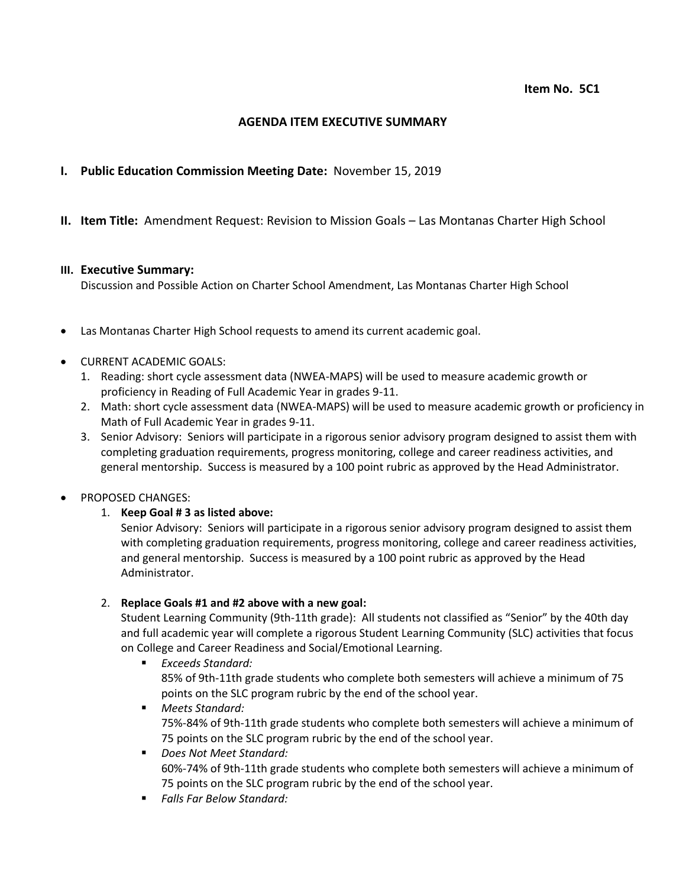## **AGENDA ITEM EXECUTIVE SUMMARY**

# **I. Public Education Commission Meeting Date:** November 15, 2019

## **II. Item Title:** Amendment Request: Revision to Mission Goals – Las Montanas Charter High School

#### **III. Executive Summary:**

Discussion and Possible Action on Charter School Amendment, Las Montanas Charter High School

- Las Montanas Charter High School requests to amend its current academic goal.
- CURRENT ACADEMIC GOALS:
	- 1. Reading: short cycle assessment data (NWEA-MAPS) will be used to measure academic growth or proficiency in Reading of Full Academic Year in grades 9-11.
	- 2. Math: short cycle assessment data (NWEA-MAPS) will be used to measure academic growth or proficiency in Math of Full Academic Year in grades 9-11.
	- 3. Senior Advisory: Seniors will participate in a rigorous senior advisory program designed to assist them with completing graduation requirements, progress monitoring, college and career readiness activities, and general mentorship. Success is measured by a 100 point rubric as approved by the Head Administrator.

### PROPOSED CHANGES:

### 1. **Keep Goal # 3 as listed above:**

Senior Advisory: Seniors will participate in a rigorous senior advisory program designed to assist them with completing graduation requirements, progress monitoring, college and career readiness activities, and general mentorship. Success is measured by a 100 point rubric as approved by the Head Administrator.

### 2. **Replace Goals #1 and #2 above with a new goal:**

Student Learning Community (9th-11th grade): All students not classified as "Senior" by the 40th day and full academic year will complete a rigorous Student Learning Community (SLC) activities that focus on College and Career Readiness and Social/Emotional Learning.

- *Exceeds Standard:* 85% of 9th-11th grade students who complete both semesters will achieve a minimum of 75 points on the SLC program rubric by the end of the school year.
- *Meets Standard:* 75%-84% of 9th-11th grade students who complete both semesters will achieve a minimum of 75 points on the SLC program rubric by the end of the school year.
- *Does Not Meet Standard:* 60%-74% of 9th-11th grade students who complete both semesters will achieve a minimum of 75 points on the SLC program rubric by the end of the school year.
- *Falls Far Below Standard:*